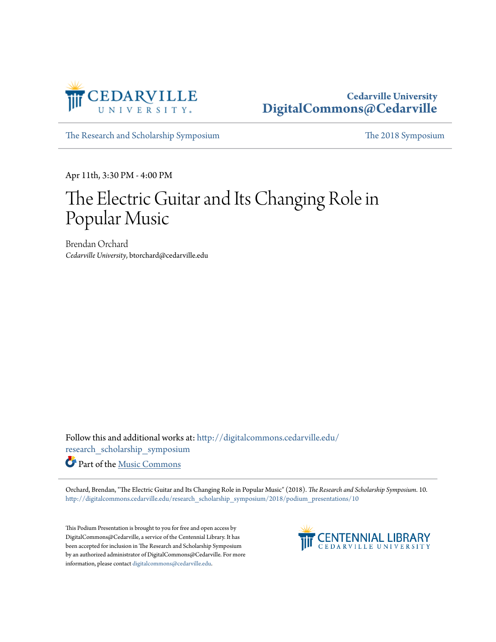

#### **Cedarville University [DigitalCommons@Cedarville](http://digitalcommons.cedarville.edu?utm_source=digitalcommons.cedarville.edu%2Fresearch_scholarship_symposium%2F2018%2Fpodium_presentations%2F10&utm_medium=PDF&utm_campaign=PDFCoverPages)**

[The Research and Scholarship Symposium](http://digitalcommons.cedarville.edu/research_scholarship_symposium?utm_source=digitalcommons.cedarville.edu%2Fresearch_scholarship_symposium%2F2018%2Fpodium_presentations%2F10&utm_medium=PDF&utm_campaign=PDFCoverPages) [The 2018 Symposium](http://digitalcommons.cedarville.edu/research_scholarship_symposium/2018?utm_source=digitalcommons.cedarville.edu%2Fresearch_scholarship_symposium%2F2018%2Fpodium_presentations%2F10&utm_medium=PDF&utm_campaign=PDFCoverPages)

Apr 11th, 3:30 PM - 4:00 PM

#### The Electric Guitar and Its Changing Role in Popular Music

Brendan Orchard *Cedarville University*, btorchard@cedarville.edu

Follow this and additional works at: [http://digitalcommons.cedarville.edu/](http://digitalcommons.cedarville.edu/research_scholarship_symposium?utm_source=digitalcommons.cedarville.edu%2Fresearch_scholarship_symposium%2F2018%2Fpodium_presentations%2F10&utm_medium=PDF&utm_campaign=PDFCoverPages) [research\\_scholarship\\_symposium](http://digitalcommons.cedarville.edu/research_scholarship_symposium?utm_source=digitalcommons.cedarville.edu%2Fresearch_scholarship_symposium%2F2018%2Fpodium_presentations%2F10&utm_medium=PDF&utm_campaign=PDFCoverPages)

Part of the [Music Commons](http://network.bepress.com/hgg/discipline/518?utm_source=digitalcommons.cedarville.edu%2Fresearch_scholarship_symposium%2F2018%2Fpodium_presentations%2F10&utm_medium=PDF&utm_campaign=PDFCoverPages)

Orchard, Brendan, "The Electric Guitar and Its Changing Role in Popular Music" (2018). *The Research and Scholarship Symposium*. 10. [http://digitalcommons.cedarville.edu/research\\_scholarship\\_symposium/2018/podium\\_presentations/10](http://digitalcommons.cedarville.edu/research_scholarship_symposium/2018/podium_presentations/10?utm_source=digitalcommons.cedarville.edu%2Fresearch_scholarship_symposium%2F2018%2Fpodium_presentations%2F10&utm_medium=PDF&utm_campaign=PDFCoverPages)

This Podium Presentation is brought to you for free and open access by DigitalCommons@Cedarville, a service of the Centennial Library. It has been accepted for inclusion in The Research and Scholarship Symposium by an authorized administrator of DigitalCommons@Cedarville. For more information, please contact [digitalcommons@cedarville.edu.](mailto:digitalcommons@cedarville.edu)

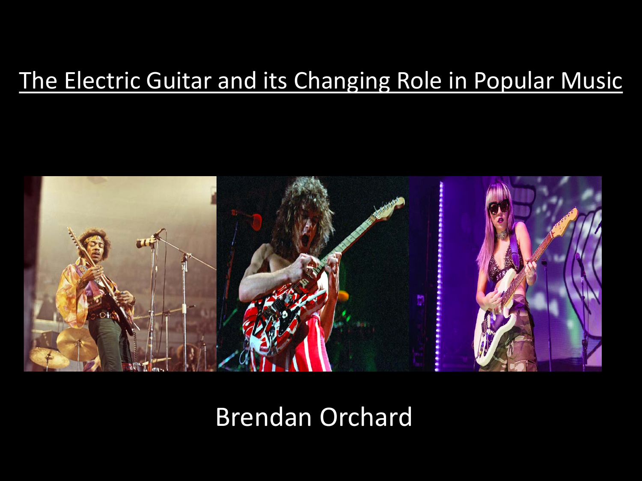#### The Electric Guitar and its Changing Role in Popular Music



Brendan Orchard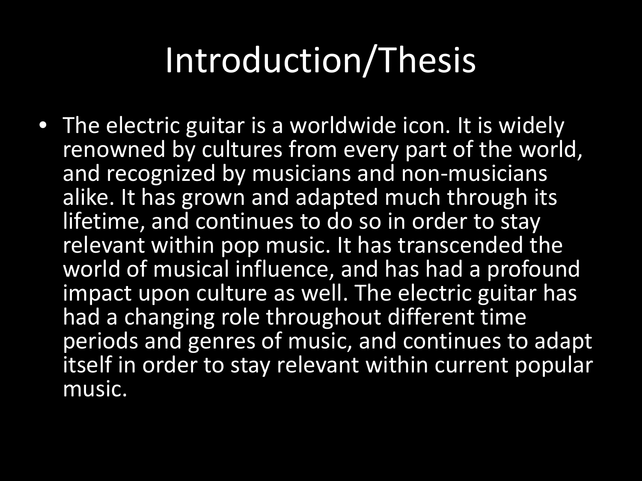## Introduction/Thesis

• The electric guitar is a worldwide icon. It is widely renowned by cultures from every part of the world, and recognized by musicians and non-musicians alike. It has grown and adapted much through its lifetime, and continues to do so in order to stay relevant within pop music. It has transcended the world of musical influence, and has had a profound impact upon culture as well. The electric guitar has had a changing role throughout different time periods and genres of music, and continues to adapt itself in order to stay relevant within current popular music.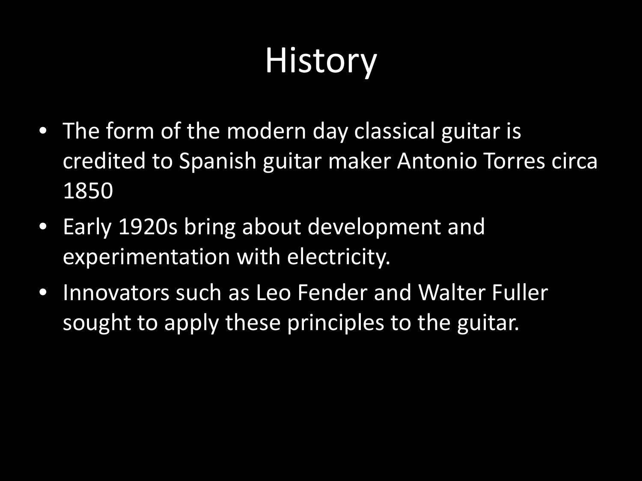## **History**

- The form of the modern day classical guitar is credited to Spanish guitar maker Antonio Torres circa 1850
- Early 1920s bring about development and experimentation with electricity.
- Innovators such as Leo Fender and Walter Fuller sought to apply these principles to the guitar.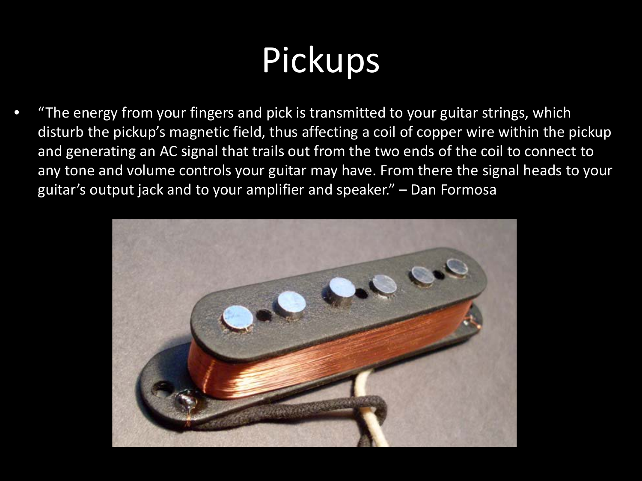## Pickups

• "The energy from your fingers and pick is transmitted to your guitar strings, which disturb the pickup's magnetic field, thus affecting a coil of copper wire within the pickup and generating an AC signal that trails out from the two ends of the coil to connect to any tone and volume controls your guitar may have. From there the signal heads to your guitar's output jack and to your amplifier and speaker." – Dan Formosa

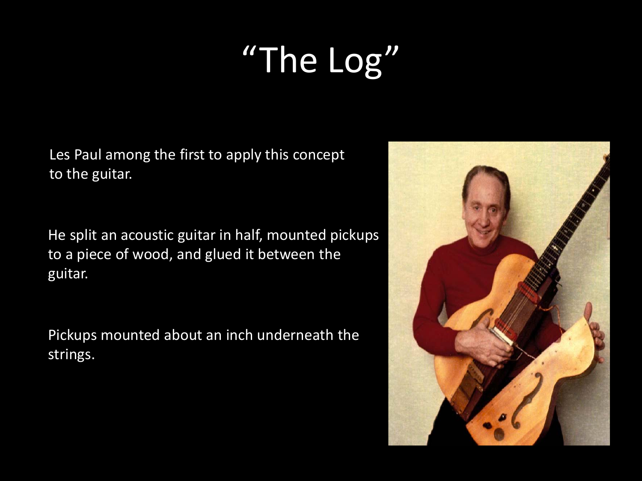# "The Log"

Les Paul among the first to apply this concept to the guitar.

He split an acoustic guitar in half, mounted pickups to a piece of wood, and glued it between the guitar.

Pickups mounted about an inch underneath the strings.

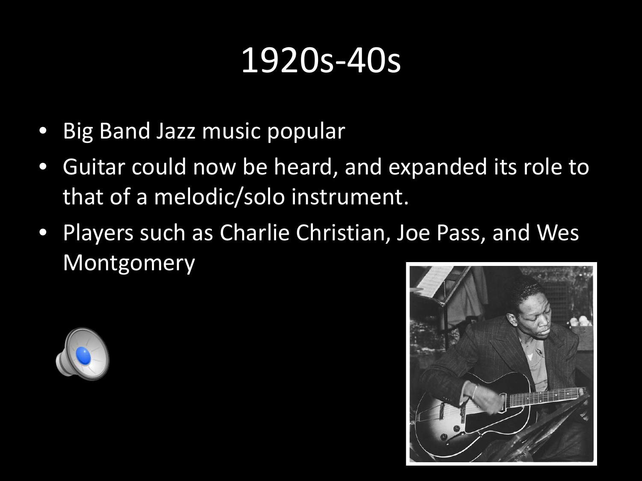#### 1920s-40s

- Big Band Jazz music popular
- Guitar could now be heard, and expanded its role to that of a melodic/solo instrument.
- Players such as Charlie Christian, Joe Pass, and Wes Montgomery



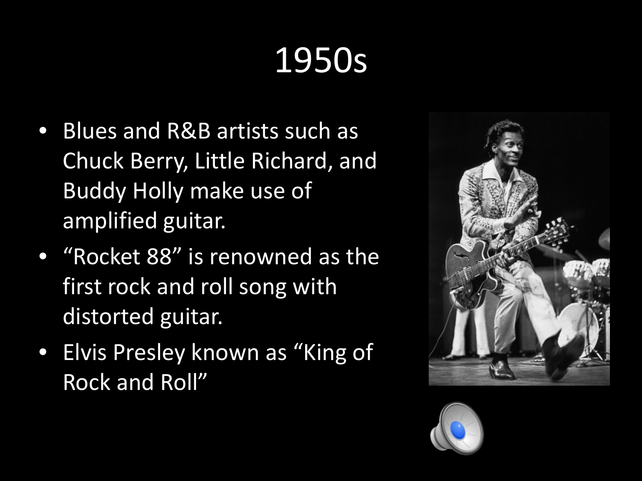- Blues and R&B artists such as Chuck Berry, Little Richard, and Buddy Holly make use of amplified guitar.
- "Rocket 88" is renowned as the first rock and roll song with distorted guitar.
- Elvis Presley known as "King of Rock and Roll"



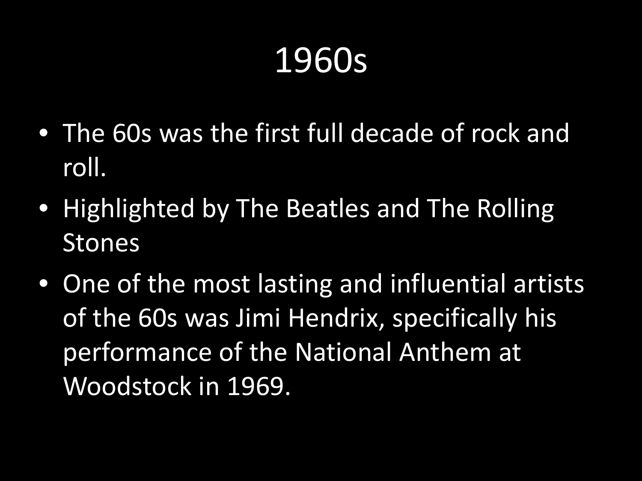- The 60s was the first full decade of rock and roll.
- Highlighted by The Beatles and The Rolling Stones
- One of the most lasting and influential artists of the 60s was Jimi Hendrix, specifically his performance of the National Anthem at Woodstock in 1969.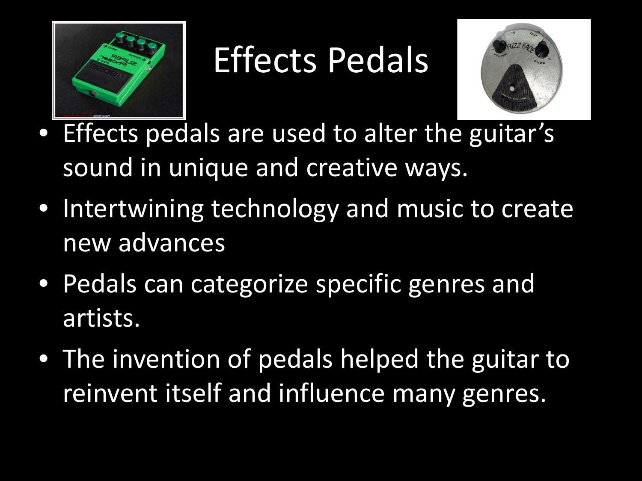

#### Effects Pedals



- Effects pedals are used to alter the guitar's sound in unique and creative ways.
- Intertwining technology and music to create new advances
- Pedals can categorize specific genres and artists.
- The invention of pedals helped the guitar to reinvent itself and influence many genres.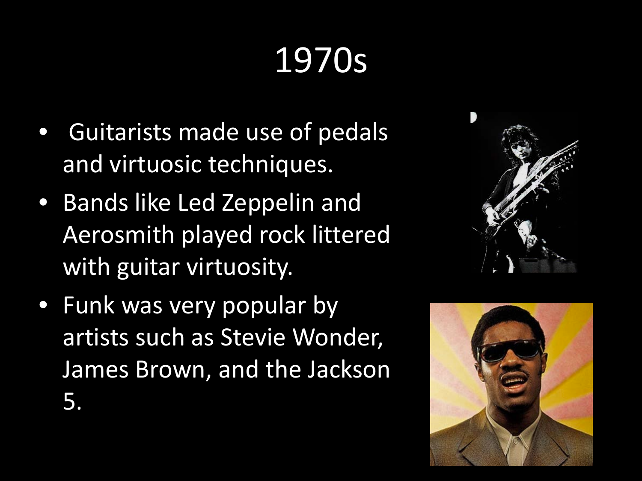- Guitarists made use of pedals and virtuosic techniques.
- Bands like Led Zeppelin and Aerosmith played rock littered with guitar virtuosity.
- Funk was very popular by artists such as Stevie Wonder, James Brown, and the Jackson 5.



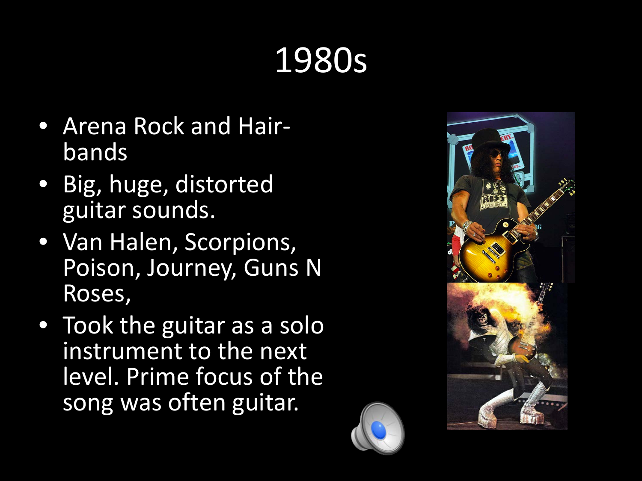- Arena Rock and Hair- bands
- Big, huge, distorted guitar sounds.
- Van Halen, Scorpions, Poison, Journey, Guns N Roses,
- Took the guitar as a solo instrument to the next level. Prime focus of the song was often guitar.

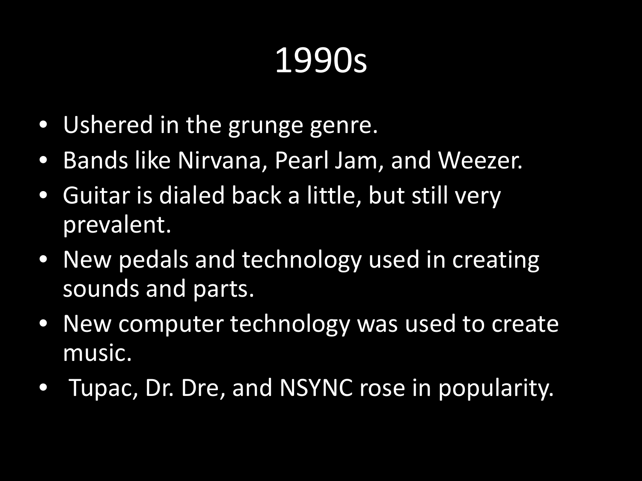- Ushered in the grunge genre.
- Bands like Nirvana, Pearl Jam, and Weezer.
- Guitar is dialed back a little, but still very prevalent.
- New pedals and technology used in creating sounds and parts.
- New computer technology was used to create music.
- Tupac, Dr. Dre, and NSYNC rose in popularity.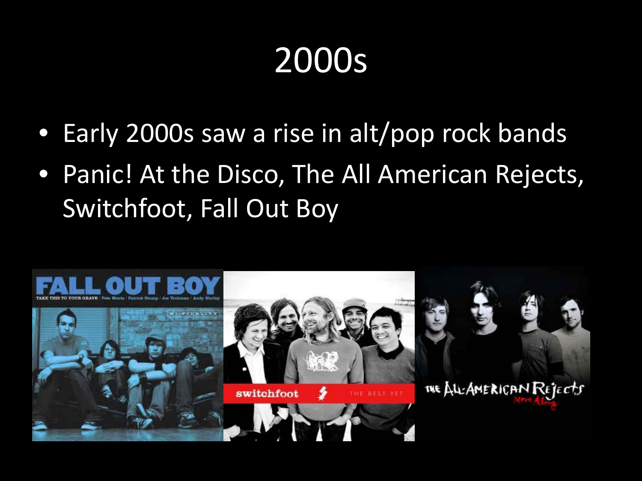- Early 2000s saw a rise in alt/pop rock bands
- Panic! At the Disco, The All American Rejects, Switchfoot, Fall Out Boy

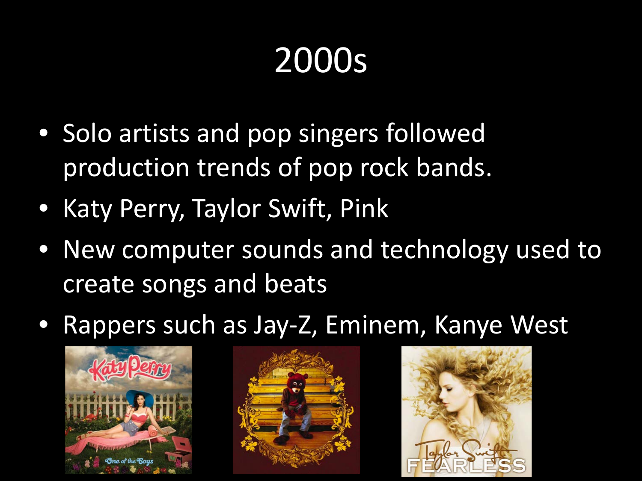- Solo artists and pop singers followed production trends of pop rock bands.
- Katy Perry, Taylor Swift, Pink
- New computer sounds and technology used to create songs and beats
- Rappers such as Jay-Z, Eminem, Kanye West





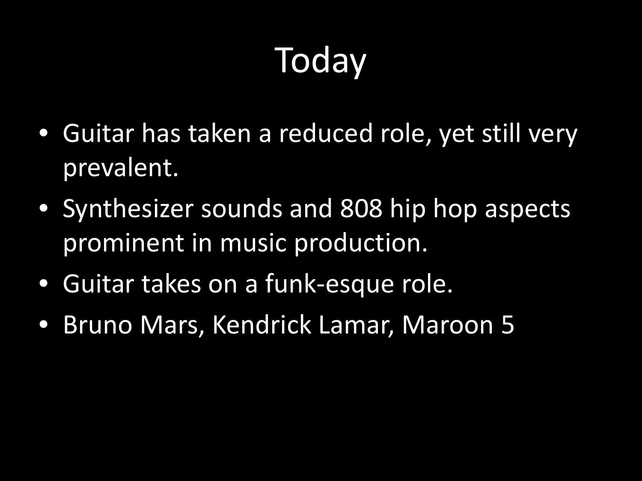## **Today**

- Guitar has taken a reduced role, yet still very prevalent.
- Synthesizer sounds and 808 hip hop aspects prominent in music production.
- Guitar takes on a funk-esque role.
- Bruno Mars, Kendrick Lamar, Maroon 5